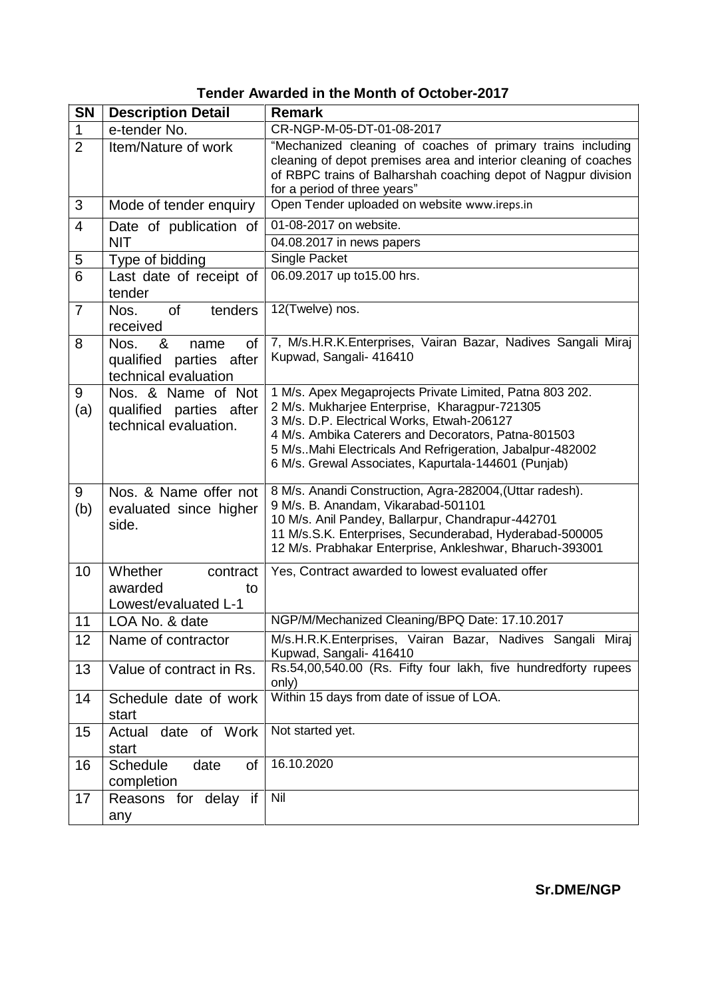|  | Tender Awarded in the Month of October-2017 |
|--|---------------------------------------------|
|--|---------------------------------------------|

| <b>SN</b>      | <b>Description Detail</b>                                                         | <b>Remark</b>                                                                                                                                                                                                                                                                                                                       |
|----------------|-----------------------------------------------------------------------------------|-------------------------------------------------------------------------------------------------------------------------------------------------------------------------------------------------------------------------------------------------------------------------------------------------------------------------------------|
| $\mathbf{1}$   | e-tender No.                                                                      | CR-NGP-M-05-DT-01-08-2017                                                                                                                                                                                                                                                                                                           |
| $\overline{2}$ | Item/Nature of work                                                               | "Mechanized cleaning of coaches of primary trains including<br>cleaning of depot premises area and interior cleaning of coaches<br>of RBPC trains of Balharshah coaching depot of Nagpur division<br>for a period of three years"                                                                                                   |
| 3              | Mode of tender enquiry                                                            | Open Tender uploaded on website www.ireps.in                                                                                                                                                                                                                                                                                        |
| $\overline{4}$ | Date of publication of                                                            | 01-08-2017 on website.                                                                                                                                                                                                                                                                                                              |
|                | <b>NIT</b>                                                                        | 04.08.2017 in news papers                                                                                                                                                                                                                                                                                                           |
| 5              | Type of bidding                                                                   | Single Packet                                                                                                                                                                                                                                                                                                                       |
| 6              | Last date of receipt of<br>tender                                                 | 06.09.2017 up to15.00 hrs.                                                                                                                                                                                                                                                                                                          |
| $\overline{7}$ | <b>of</b><br>tenders<br>Nos.<br>received                                          | 12(Twelve) nos.                                                                                                                                                                                                                                                                                                                     |
| 8              | Nos.<br>&<br><b>of</b><br>name<br>qualified parties after<br>technical evaluation | 7, M/s.H.R.K.Enterprises, Vairan Bazar, Nadives Sangali Miraj<br>Kupwad, Sangali- 416410                                                                                                                                                                                                                                            |
| 9<br>(a)       | Nos. & Name of Not<br>qualified parties after<br>technical evaluation.            | 1 M/s. Apex Megaprojects Private Limited, Patna 803 202.<br>2 M/s. Mukharjee Enterprise, Kharagpur-721305<br>3 M/s. D.P. Electrical Works, Etwah-206127<br>4 M/s. Ambika Caterers and Decorators, Patna-801503<br>5 M/s. Mahi Electricals And Refrigeration, Jabalpur-482002<br>6 M/s. Grewal Associates, Kapurtala-144601 (Punjab) |
| 9<br>(b)       | Nos. & Name offer not<br>evaluated since higher<br>side.                          | 8 M/s. Anandi Construction, Agra-282004, (Uttar radesh).<br>9 M/s. B. Anandam, Vikarabad-501101<br>10 M/s. Anil Pandey, Ballarpur, Chandrapur-442701<br>11 M/s.S.K. Enterprises, Secunderabad, Hyderabad-500005<br>12 M/s. Prabhakar Enterprise, Ankleshwar, Bharuch-393001                                                         |
| 10             | Whether<br>contract<br>awarded<br>to<br>Lowest/evaluated L-1                      | Yes, Contract awarded to lowest evaluated offer                                                                                                                                                                                                                                                                                     |
| 11             | LOA No. & date                                                                    | NGP/M/Mechanized Cleaning/BPQ Date: 17.10.2017                                                                                                                                                                                                                                                                                      |
| 12             | Name of contractor                                                                | M/s.H.R.K.Enterprises, Vairan Bazar, Nadives Sangali Miraj<br>Kupwad, Sangali- 416410                                                                                                                                                                                                                                               |
| 13             | Value of contract in Rs.                                                          | Rs.54,00,540.00 (Rs. Fifty four lakh, five hundredforty rupees<br>only)                                                                                                                                                                                                                                                             |
| 14             | Schedule date of work<br>start                                                    | Within 15 days from date of issue of LOA.                                                                                                                                                                                                                                                                                           |
| 15             | date of Work<br>Actual<br>start                                                   | Not started yet.                                                                                                                                                                                                                                                                                                                    |
| 16             | of<br><b>Schedule</b><br>date<br>completion                                       | 16.10.2020                                                                                                                                                                                                                                                                                                                          |
| 17             | Reasons for delay if<br>any                                                       | Nil                                                                                                                                                                                                                                                                                                                                 |